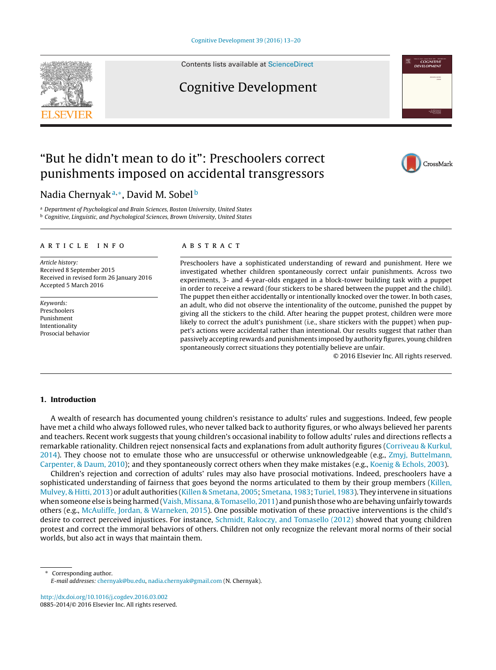Contents lists available at [ScienceDirect](http://www.sciencedirect.com/science/journal/08852014)

# Cognitive Development



# "But he didn't mean to do it": Preschoolers correct punishments imposed on accidental transgressors



<sup>a</sup> Department of Psychological and Brain Sciences, Boston University, United States <sup>b</sup> Cognitive, Linguistic, and Psychological Sciences, Brown University, United States

a r t i c l e i n f o

Article history: Received 8 September 2015 Received in revised form 26 January 2016 Accepted 5 March 2016

Keywords: Preschoolers Punishment Intentionality Prosocial behavior

# A B S T R A C T

Preschoolers have a sophisticated understanding of reward and punishment. Here we investigated whether children spontaneously correct unfair punishments. Across two experiments, 3- and 4-year-olds engaged in a block-tower building task with a puppet in order to receive a reward (four stickers to be shared between the puppet and the child). The puppet then either accidentally or intentionally knocked over the tower. In both cases, an adult, who did not observe the intentionality of the outcome, punished the puppet by giving all the stickers to the child. After hearing the puppet protest, children were more likely to correct the adult's punishment (i.e., share stickers with the puppet) when puppet's actions were accidental rather than intentional. Our results suggest that rather than passively accepting rewards and punishments imposed by authority figures, young children spontaneously correct situations they potentially believe are unfair.

© 2016 Elsevier Inc. All rights reserved.

# **1. Introduction**

A wealth of research has documented young children's resistance to adults' rules and suggestions. Indeed, few people have met a child who always followed rules, who never talked back to authority figures, or who always believed her parents and teachers. Recent work suggests that young children's occasional inability to follow adults' rules and directions reflects a remarkable rationality. Children reject nonsensical facts and explanations from adult authority figures ([Corriveau](#page-7-0) [&](#page-7-0) [Kurkul,](#page-7-0) [2014\).](#page-7-0) They choose not to emulate those who are unsuccessful or otherwise unknowledgeable (e.g., [Zmyj,](#page-7-0) [Buttelmann,](#page-7-0) [Carpenter,](#page-7-0) [&](#page-7-0) [Daum,](#page-7-0) [2010\);](#page-7-0) and they spontaneously correct others when they make mistakes (e.g., [Koenig](#page-7-0) [&](#page-7-0) [Echols,](#page-7-0) [2003\).](#page-7-0)

Children's rejection and correction of adults' rules may also have prosocial motivations. Indeed, preschoolers have a sophisticated understanding of fairness that goes beyond the norms articulated to them by their group members [\(Killen,](#page-7-0) [Mulvey,](#page-7-0) [&](#page-7-0) [Hitti,](#page-7-0) [2013\)](#page-7-0) or adult authorities [\(Killen](#page-7-0) [&](#page-7-0) [Smetana,](#page-7-0) [2005;](#page-7-0) [Smetana,](#page-7-0) [1983;](#page-7-0) [Turiel,](#page-7-0) [1983\).](#page-7-0) They intervene in situations when someone else is being harmed ([Vaish,](#page-7-0) [Missana,](#page-7-0) [&](#page-7-0) [Tomasello,](#page-7-0) [2011\)](#page-7-0) and punish those who are behaving unfairly towards others (e.g., [McAuliffe,](#page-7-0) [Jordan,](#page-7-0) [&](#page-7-0) [Warneken,](#page-7-0) [2015\).](#page-7-0) One possible motivation of these proactive interventions is the child's desire to correct perceived injustices. For instance, [Schmidt,](#page-7-0) [Rakoczy,](#page-7-0) [and](#page-7-0) [Tomasello](#page-7-0) [\(2012\)](#page-7-0) showed that young children protest and correct the immoral behaviors of others. Children not only recognize the relevant moral norms of their social worlds, but also act in ways that maintain them.

[http://dx.doi.org/10.1016/j.cogdev.2016.03.002](dx.doi.org/10.1016/j.cogdev.2016.03.002) 0885-2014/© 2016 Elsevier Inc. All rights reserved.





Corresponding author. E-mail addresses: [chernyak@bu.edu](mailto:chernyak@bu.edu), [nadia.chernyak@gmail.com](mailto:nadia.chernyak@gmail.com) (N. Chernyak).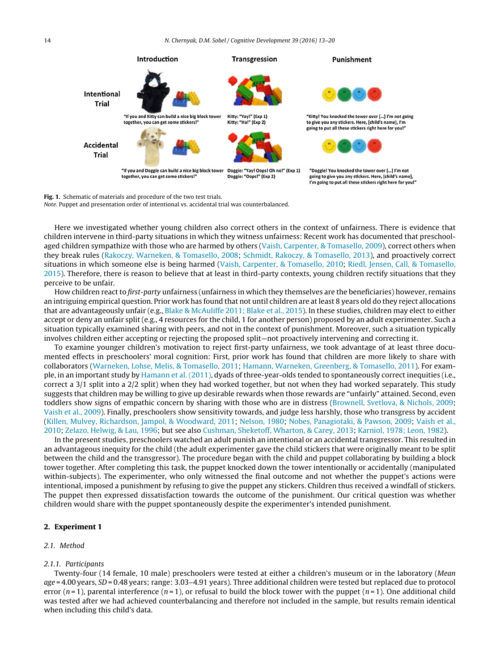<span id="page-1-0"></span>

**Fig. 1.** Schematic of materials and procedure of the two test trials. Note. Puppet and presentation order of intentional vs. accidental trial was counterbalanced.

Here we investigated whether young children also correct others in the context of unfairness. There is evidence that children intervene in third-party situations in which they witness unfairness: Recent work has documented that preschoolaged children sympathize with those who are harmed by others ([Vaish,](#page-7-0) [Carpenter,](#page-7-0) [&](#page-7-0) [Tomasello,](#page-7-0) [2009\),](#page-7-0) correct others when they break rules ([Rakoczy,](#page-7-0) [Warneken,](#page-7-0) [&](#page-7-0) [Tomasello,](#page-7-0) [2008;](#page-7-0) [Schmidt,](#page-7-0) [Rakoczy,](#page-7-0) [&](#page-7-0) [Tomasello,](#page-7-0) [2013\),](#page-7-0) and proactively correct situations in which someone else is being harmed ([Vaish,](#page-7-0) [Carpenter,](#page-7-0) [&](#page-7-0) [Tomasello,](#page-7-0) [2010;](#page-7-0) [Riedl,](#page-7-0) [Jensen,](#page-7-0) [Call,](#page-7-0) [&](#page-7-0) [Tomasello,](#page-7-0) [2015\).](#page-7-0) Therefore, there is reason to believe that at least in third-party contexts, young children rectify situations that they perceive to be unfair.

How children react to first-party unfairness (unfairness in which they themselves are the beneficiaries) however, remains an intriguing empirical question. Prior work has found that not until children are atleast 8 years old do they reject allocations that are advantageously unfair (e.g., [Blake](#page-7-0) [&](#page-7-0) [McAuliffe](#page-7-0) [2011;](#page-7-0) [Blake](#page-7-0) et [al.,](#page-7-0) [2015\).](#page-7-0) In these studies, children may elect to either accept or deny an unfair split (e.g., 4 resources for the child, 1 for another person) proposed by an adult experimenter. Such a situation typically examined sharing with peers, and not in the context of punishment. Moreover, such a situation typically involves children either accepting or rejecting the proposed split—not proactively intervening and correcting it.

To examine younger children's motivation to reject first-party unfairness, we took advantage of at least three documented effects in preschoolers' moral cognition: First, prior work has found that children are more likely to share with collaborators ([Warneken,](#page-7-0) [Lohse,](#page-7-0) [Melis,](#page-7-0) [&](#page-7-0) [Tomasello,](#page-7-0) [2011;](#page-7-0) [Hamann,](#page-7-0) [Warneken,](#page-7-0) [Greenberg,](#page-7-0) [&](#page-7-0) [Tomasello,](#page-7-0) [2011\).](#page-7-0) For exam-ple, in an important study by [Hamann](#page-7-0) et [al.](#page-7-0) [\(2011\),](#page-7-0) dyads of three-year-olds tended to spontaneously correct inequities (i.e., correct a 3/1 split into a 2/2 split) when they had worked together, but not when they had worked separately. This study suggests that children may be willing to give up desirable rewards when those rewards are "unfairly" attained. Second, even toddlers show signs of empathic concern by sharing with those who are in distress [\(Brownell,](#page-7-0) [Svetlova,](#page-7-0) [&](#page-7-0) [Nichols,](#page-7-0) [2009;](#page-7-0) [Vaish](#page-7-0) et [al.,](#page-7-0) [2009\).](#page-7-0) Finally, preschoolers show sensitivity towards, and judge less harshly, those who transgress by accident [\(Killen,](#page-7-0) [Mulvey,](#page-7-0) [Richardson,](#page-7-0) [Jampol,](#page-7-0) [&](#page-7-0) [Woodward,](#page-7-0) [2011;](#page-7-0) [Nelson,](#page-7-0) [1980;](#page-7-0) [Nobes,](#page-7-0) [Panagiotaki,](#page-7-0) [&](#page-7-0) [Pawson,](#page-7-0) [2009;](#page-7-0) [Vaish](#page-7-0) et [al.,](#page-7-0) [2010;](#page-7-0) [Zelazo,](#page-7-0) [Helwig,](#page-7-0) [&](#page-7-0) [Lau,](#page-7-0) [1996;](#page-7-0) but see also [Cushman,](#page-7-0) [Sheketoff,](#page-7-0) [Wharton,](#page-7-0) [&](#page-7-0) [Carey,](#page-7-0) [2013;](#page-7-0) [Karniol,](#page-7-0) [1978;](#page-7-0) [Leon,](#page-7-0) [1982\).](#page-7-0)

In the present studies, preschoolers watched an adult punish an intentional or an accidental transgressor. This resulted in an advantageous inequity for the child (the adult experimenter gave the child stickers that were originally meant to be split between the child and the transgressor). The procedure began with the child and puppet collaborating by building a block tower together. After completing this task, the puppet knocked down the tower intentionally or accidentally (manipulated within-subjects). The experimenter, who only witnessed the final outcome and not whether the puppet's actions were intentional, imposed a punishment by refusing to give the puppet any stickers. Children thus received a windfall of stickers. The puppet then expressed dissatisfaction towards the outcome of the punishment. Our critical question was whether children would share with the puppet spontaneously despite the experimenter's intended punishment.

## **2. Experiment 1**

## 2.1. Method

#### 2.1.1. Participants

Twenty-four (14 female, 10 male) preschoolers were tested at either a children's museum or in the laboratory (Mean age = 4.00 years, SD = 0.48 years; range: 3.03-4.91 years). Three additional children were tested but replaced due to protocol error ( $n = 1$ ), parental interference ( $n = 1$ ), or refusal to build the block tower with the puppet ( $n = 1$ ). One additional child was tested after we had achieved counterbalancing and therefore not included in the sample, but results remain identical when including this child's data.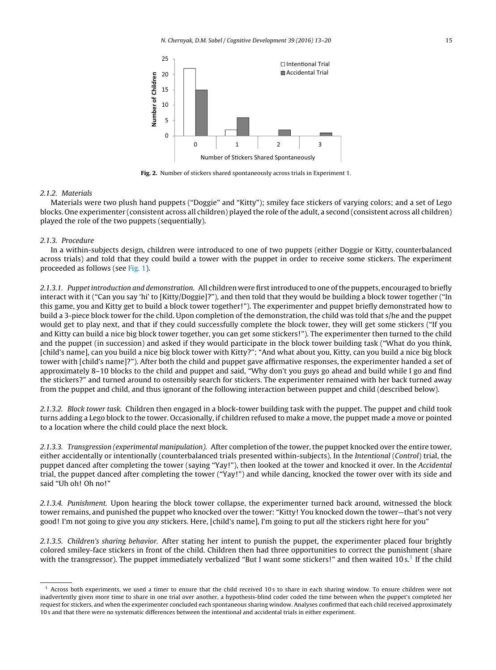<span id="page-2-0"></span>

**Fig. 2.** Number of stickers shared spontaneously across trials in Experiment 1.

## 2.1.2. Materials

Materials were two plush hand puppets ("Doggie" and "Kitty"); smiley face stickers of varying colors; and a set of Lego blocks. One experimenter (consistent across all children) played the role ofthe adult, a second (consistent across all children) played the role of the two puppets (sequentially).

### 2.1.3. Procedure

In a within-subjects design, children were introduced to one of two puppets (either Doggie or Kitty, counterbalanced across trials) and told that they could build a tower with the puppet in order to receive some stickers. The experiment proceeded as follows (see [Fig.](#page-1-0) 1).

2.1.3.1. Puppetintroduction and demonstration. All children were firstintroduced to one ofthe puppets, encouraged to briefly interact with it ("Can you say 'hi' to [Kitty/Doggie]?"), and then told that they would be building a block tower together ("In this game, you and Kitty get to build a block tower together!"). The experimenter and puppet briefly demonstrated how to build a 3-piece block tower for the child. Upon completion of the demonstration, the child was told that s/he and the puppet would get to play next, and that if they could successfully complete the block tower, they will get some stickers ("If you and Kitty can build a nice big block tower together, you can get some stickers!"). The experimenter then turned to the child and the puppet (in succession) and asked if they would participate in the block tower building task ("What do you think, [child's name], can you build a nice big block tower with Kitty?"; "And what about you, Kitty, can you build a nice big block tower with [child's name]?"). After both the child and puppet gave affirmative responses, the experimenter handed a set of approximately 8–10 blocks to the child and puppet and said, "Why don't you guys go ahead and build while I go and find the stickers?" and turned around to ostensibly search for stickers. The experimenter remained with her back turned away from the puppet and child, and thus ignorant of the following interaction between puppet and child (described below).

2.1.3.2. Block tower task. Children then engaged in a block-tower building task with the puppet. The puppet and child took turns adding a Lego block to the tower. Occasionally, if children refused to make a move, the puppet made a move or pointed to a location where the child could place the next block.

2.1.3.3. Transgression (experimental manipulation). After completion of the tower, the puppet knocked over the entire tower, either accidentally or intentionally (counterbalanced trials presented within-subjects). In the Intentional (Control) trial, the puppet danced after completing the tower (saying "Yay!"), then looked at the tower and knocked it over. In the Accidental trial, the puppet danced after completing the tower ("Yay!") and while dancing, knocked the tower over with its side and said "Uh oh! Oh no!"

2.1.3.4. Punishment. Upon hearing the block tower collapse, the experimenter turned back around, witnessed the block tower remains, and punished the puppet who knocked over the tower: "Kitty! You knocked down the tower—that's not very good! I'm not going to give you any stickers. Here, [child's name], I'm going to put all the stickers right here for you"

2.1.3.5. Children's sharing behavior. After stating her intent to punish the puppet, the experimenter placed four brightly colored smiley-face stickers in front of the child. Children then had three opportunities to correct the punishment (share with the transgressor). The puppet immediately verbalized "But I want some stickers!" and then waited  $10 s<sup>1</sup>$  If the child

<sup>&</sup>lt;sup>1</sup> Across both experiments, we used a timer to ensure that the child received 10s to share in each sharing window. To ensure children were not inadvertently given more time to share in one trial over another, a hypothesis-blind coder coded the time between when the puppet's completed her request for stickers, and when the experimenter concluded each spontaneous sharing window. Analyses confirmed that each child received approximately 10 s and that there were no systematic differences between the intentional and accidental trials in either experiment.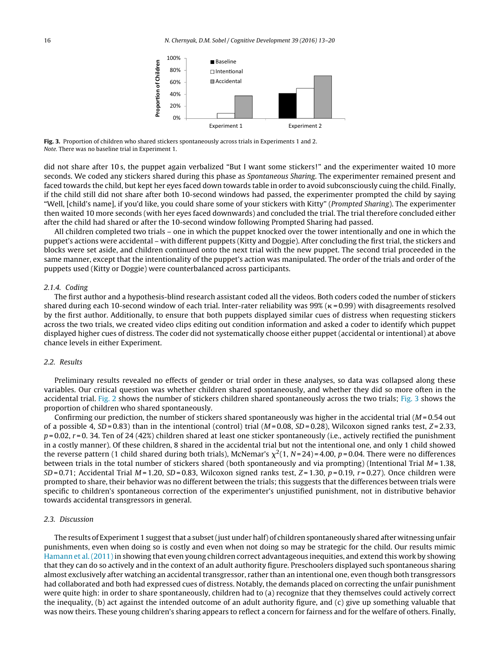

<span id="page-3-0"></span>**Fig. 3.** Proportion of children who shared stickers spontaneously across trials in Experiments 1 and 2. Note. There was no baseline trial in Experiment 1.

did not share after 10 s, the puppet again verbalized "But I want some stickers!" and the experimenter waited 10 more seconds. We coded any stickers shared during this phase as Spontaneous Sharing. The experimenter remained present and faced towards the child, but kept her eyes faced down towards table in order to avoid subconsciously cuing the child. Finally, if the child still did not share after both 10-second windows had passed, the experimenter prompted the child by saying "Well, [child's name], if you'd like, you could share some of your stickers with Kitty" (Prompted Sharing). The experimenter then waited 10 more seconds (with her eyes faced downwards) and concluded the trial. The trial therefore concluded either after the child had shared or after the 10-second window following Prompted Sharing had passed.

All children completed two trials – one in which the puppet knocked over the tower intentionally and one in which the puppet's actions were accidental – with different puppets (Kitty and Doggie). After concluding the first trial, the stickers and blocks were set aside, and children continued onto the next trial with the new puppet. The second trial proceeded in the same manner, except that the intentionality of the puppet's action was manipulated. The order of the trials and order of the puppets used (Kitty or Doggie) were counterbalanced across participants.

#### 2.1.4. Coding

The first author and a hypothesis-blind research assistant coded all the videos. Both coders coded the number of stickers shared during each 10-second window of each trial. Inter-rater reliability was 99% ( $\kappa$ =0.99) with disagreements resolved by the first author. Additionally, to ensure that both puppets displayed similar cues of distress when requesting stickers across the two trials, we created video clips editing out condition information and asked a coder to identify which puppet displayed higher cues of distress. The coder did not systematically choose either puppet (accidental or intentional) at above chance levels in either Experiment.

## 2.2. Results

Preliminary results revealed no effects of gender or trial order in these analyses, so data was collapsed along these variables. Our critical question was whether children shared spontaneously, and whether they did so more often in the accidental trial. [Fig.](#page-2-0) 2 shows the number of stickers children shared spontaneously across the two trials; Fig. 3 shows the proportion of children who shared spontaneously.

Confirming our prediction, the number of stickers shared spontaneously was higher in the accidental trial ( $M = 0.54$  out of a possible 4,  $SD = 0.83$ ) than in the intentional (control) trial  $(M = 0.08, SD = 0.28)$ , Wilcoxon signed ranks test,  $Z = 2.33$ ,  $p = 0.02$ ,  $r = 0.34$ . Ten of 24 (42%) children shared at least one sticker spontaneously (i.e., actively rectified the punishment in a costly manner). Of these children, 8 shared in the accidental trial but not the intentional one, and only 1 child showed the reverse pattern (1 child shared during both trials), McNemar's  $\chi^2(1, N=24) = 4.00$ ,  $p = 0.04$ . There were no differences between trials in the total number of stickers shared (both spontaneously and via prompting) (Intentional Trial  $M = 1.38$ ,  $SD = 0.71$ ; Accidental Trial  $M = 1.20$ ,  $SD = 0.83$ , Wilcoxon signed ranks test,  $Z = 1.30$ ,  $p = 0.19$ ,  $r = 0.27$ ). Once children were prompted to share, their behavior was no different between the trials; this suggests that the differences between trials were specific to children's spontaneous correction of the experimenter's unjustified punishment, not in distributive behavior towards accidental transgressors in general.

## 2.3. Discussion

The results of Experiment 1 suggestthat a subset(just under half) of children spontaneously shared after witnessing unfair punishments, even when doing so is costly and even when not doing so may be strategic for the child. Our results mimic [Hamann](#page-7-0) et al. (2011) in showing that even young children correct advantageous inequities, and extend this work by showing that they can do so actively and in the context of an adult authority figure. Preschoolers displayed such spontaneous sharing almost exclusively after watching an accidental transgressor, rather than an intentional one, even though both transgressors had collaborated and both had expressed cues of distress. Notably, the demands placed on correcting the unfair punishment were quite high: in order to share spontaneously, children had to (a) recognize that they themselves could actively correct the inequality, (b) act against the intended outcome of an adult authority figure, and (c) give up something valuable that was now theirs. These young children's sharing appears to reflect a concern for fairness and for the welfare of others. Finally,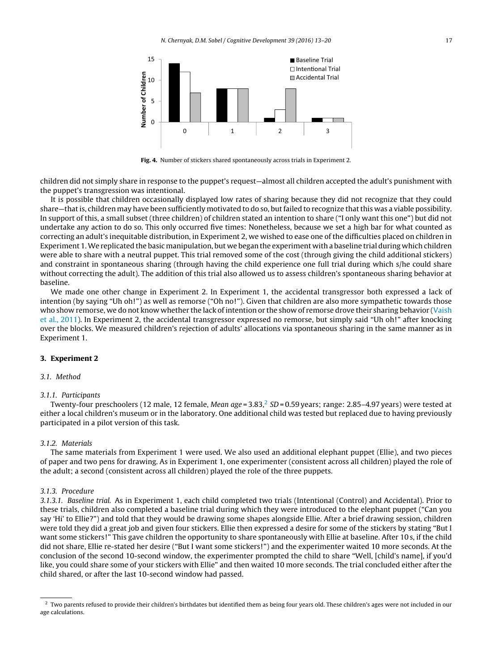<span id="page-4-0"></span>

**Fig. 4.** Number of stickers shared spontaneously across trials in Experiment 2.

children did not simply share in response to the puppet's request—almost all children accepted the adult's punishment with the puppet's transgression was intentional.

It is possible that children occasionally displayed low rates of sharing because they did not recognize that they could share—that is, children may have been sufficiently motivated to do so, but failed to recognize that this was a viable possibility. In support of this, a small subset (three children) of children stated an intention to share ("I only want this one") but did not undertake any action to do so. This only occurred five times: Nonetheless, because we set a high bar for what counted as correcting an adult's inequitable distribution, in Experiment 2, we wished to ease one of the difficulties placed on children in Experiment 1.We replicated the basic manipulation, but we began the experiment with a baseline trial during which children were able to share with a neutral puppet. This trial removed some of the cost (through giving the child additional stickers) and constraint in spontaneous sharing (through having the child experience one full trial during which s/he could share without correcting the adult). The addition of this trial also allowed us to assess children's spontaneous sharing behavior at baseline.

We made one other change in Experiment 2. In Experiment 1, the accidental transgressor both expressed a lack of intention (by saying "Uh oh!") as well as remorse ("Oh no!"). Given that children are also more sympathetic towards those who show remorse, we do not know whether the lack of intention or the show of remorse drove their sharing behavior [\(Vaish](#page-7-0) et [al.,](#page-7-0) [2011\).](#page-7-0) In Experiment 2, the accidental transgressor expressed no remorse, but simply said "Uh oh!" after knocking over the blocks. We measured children's rejection of adults' allocations via spontaneous sharing in the same manner as in Experiment 1.

## **3. Experiment 2**

## 3.1. Method

#### 3.1.1. Participants

Twenty-four preschoolers (12 male, 12 female, Mean age =  $3.83$ ,  $2$  SD = 0.59 years; range: 2.85–4.97 years) were tested at either a local children's museum or in the laboratory. One additional child was tested but replaced due to having previously participated in a pilot version of this task.

### 3.1.2. Materials

The same materials from Experiment 1 were used. We also used an additional elephant puppet (Ellie), and two pieces of paper and two pens for drawing. As in Experiment 1, one experimenter (consistent across all children) played the role of the adult; a second (consistent across all children) played the role of the three puppets.

#### 3.1.3. Procedure

3.1.3.1. Baseline trial. As in Experiment 1, each child completed two trials (Intentional (Control) and Accidental). Prior to these trials, children also completed a baseline trial during which they were introduced to the elephant puppet ("Can you say 'Hi' to Ellie?") and told that they would be drawing some shapes alongside Ellie. After a brief drawing session, children were told they did a great job and given four stickers. Ellie then expressed a desire for some of the stickers by stating "But I want some stickers!" This gave children the opportunity to share spontaneously with Ellie at baseline. After 10 s, if the child did not share, Ellie re-stated her desire ("But I want some stickers!") and the experimenter waited 10 more seconds. At the conclusion of the second 10-second window, the experimenter prompted the child to share "Well, [child's name], if you'd like, you could share some of your stickers with Ellie" and then waited 10 more seconds. The trial concluded either after the child shared, or after the last 10-second window had passed.

 $<sup>2</sup>$  Two parents refused to provide their children's birthdates but identified them as being four years old. These children's ages were not included in our</sup> age calculations.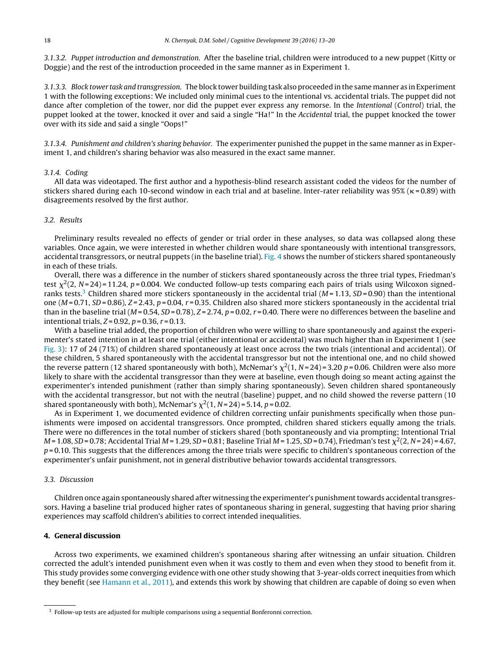3.1.3.2. Puppet introduction and demonstration. After the baseline trial, children were introduced to a new puppet (Kitty or Doggie) and the rest of the introduction proceeded in the same manner as in Experiment 1.

3.1.3.3. Block tower task and transgression. The block tower building task also proceeded in the samemanner as in Experiment 1 with the following exceptions: We included only minimal cues to the intentional vs. accidental trials. The puppet did not dance after completion of the tower, nor did the puppet ever express any remorse. In the Intentional (Control) trial, the puppet looked at the tower, knocked it over and said a single "Ha!" In the Accidental trial, the puppet knocked the tower over with its side and said a single "Oops!"

3.1.3.4. Punishment and children's sharing behavior. The experimenter punished the puppet in the same manner as in Experiment 1, and children's sharing behavior was also measured in the exact same manner.

#### 3.1.4. Coding

All data was videotaped. The first author and a hypothesis-blind research assistant coded the videos for the number of stickers shared during each 10-second window in each trial and at baseline. Inter-rater reliability was 95% ( $\kappa$ =0.89) with disagreements resolved by the first author.

## 3.2. Results

Preliminary results revealed no effects of gender or trial order in these analyses, so data was collapsed along these variables. Once again, we were interested in whether children would share spontaneously with intentional transgressors, accidental transgressors, or neutral puppets (in the baseline trial). [Fig.](#page-4-0) 4 shows the number of stickers shared spontaneously in each of these trials.

Overall, there was a difference in the number of stickers shared spontaneously across the three trial types, Friedman's test  $\chi^2(2, N=24) = 11.24$ ,  $p=0.004$ . We conducted follow-up tests comparing each pairs of trials using Wilcoxon signedranks tests.<sup>3</sup> Children shared more stickers spontaneously in the accidental trial ( $M = 1.13$ ,  $SD = 0.90$ ) than the intentional one  $(M=0.71, SD=0.86)$ ,  $Z=2.43$ ,  $p=0.04$ ,  $r=0.35$ . Children also shared more stickers spontaneously in the accidental trial than in the baseline trial  $(M = 0.54, SD = 0.78)$ ,  $Z = 2.74$ ,  $p = 0.02$ ,  $r = 0.40$ . There were no differences between the baseline and intentional trials,  $Z = 0.92$ ,  $p = 0.36$ ,  $r = 0.13$ .

With a baseline trial added, the proportion of children who were willing to share spontaneously and against the experimenter's stated intention in at least one trial (either intentional or accidental) was much higher than in Experiment 1 (see [Fig.](#page-3-0) 3): 17 of 24 (71%) of children shared spontaneously at least once across the two trials (intentional and accidental). Of these children, 5 shared spontaneously with the accidental transgressor but not the intentional one, and no child showed the reverse pattern (12 shared spontaneously with both), McNemar's  $\chi^2(1, N=24) = 3.20 \ p = 0.06$ . Children were also more likely to share with the accidental transgressor than they were at baseline, even though doing so meant acting against the experimenter's intended punishment (rather than simply sharing spontaneously). Seven children shared spontaneously with the accidental transgressor, but not with the neutral (baseline) puppet, and no child showed the reverse pattern (10 shared spontaneously with both), McNemar's  $\chi^2(1, N = 24) = 5.14$ ,  $p = 0.02$ .

As in Experiment 1, we documented evidence of children correcting unfair punishments specifically when those punishments were imposed on accidental transgressors. Once prompted, children shared stickers equally among the trials. There were no differences in the total number of stickers shared (both spontaneously and via prompting; Intentional Trial  $M = 1.08$ ,  $SD = 0.78$ ; Accidental Trial  $M = 1.29$ ,  $SD = 0.81$ ; Baseline Trial  $M = 1.25$ ,  $SD = 0.74$ ), Friedman's test  $\chi^2(2, N = 24) = 4.67$ ,  $p = 0.10$ . This suggests that the differences among the three trials were specific to children's spontaneous correction of the experimenter's unfair punishment, not in general distributive behavior towards accidental transgressors.

## 3.3. Discussion

Children once again spontaneously shared after witnessing the experimenter's punishment towards accidental transgressors. Having a baseline trial produced higher rates of spontaneous sharing in general, suggesting that having prior sharing experiences may scaffold children's abilities to correct intended inequalities.

# **4. General discussion**

Across two experiments, we examined children's spontaneous sharing after witnessing an unfair situation. Children corrected the adult's intended punishment even when it was costly to them and even when they stood to benefit from it. This study provides some converging evidence with one other study showing that 3-year-olds correct inequities from which they benefit (see [Hamann](#page-7-0) et [al.,](#page-7-0) [2011\),](#page-7-0) and extends this work by showing that children are capable of doing so even when

<sup>&</sup>lt;sup>3</sup> Follow-up tests are adjusted for multiple comparisons using a sequential Bonferonni correction.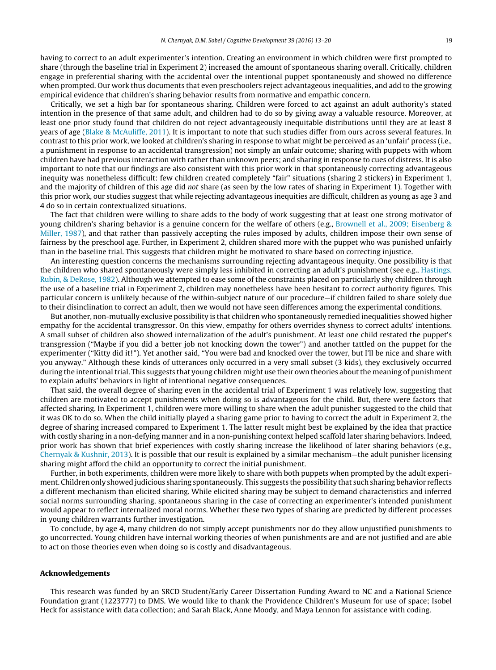having to correct to an adult experimenter's intention. Creating an environment in which children were first prompted to share (through the baseline trial in Experiment 2) increased the amount of spontaneous sharing overall. Critically, children engage in preferential sharing with the accidental over the intentional puppet spontaneously and showed no difference when prompted. Our work thus documents that even preschoolers reject advantageous inequalities, and add to the growing empirical evidence that children's sharing behavior results from normative and empathic concern.

Critically, we set a high bar for spontaneous sharing. Children were forced to act against an adult authority's stated intention in the presence of that same adult, and children had to do so by giving away a valuable resource. Moreover, at least one prior study found that children do not reject advantageously inequitable distributions until they are at least 8 years of age ([Blake](#page-7-0) [&](#page-7-0) [McAuliffe,](#page-7-0) [2011\).](#page-7-0) It is important to note that such studies differ from ours across several features. In contrast to this prior work, we looked at children's sharing in response to what might be perceived as an 'unfair' process (i.e., a punishment in response to an accidental transgression) not simply an unfair outcome; sharing with puppets with whom children have had previous interaction with rather than unknown peers; and sharing in response to cues of distress. It is also important to note that our findings are also consistent with this prior work in that spontaneously correcting advantageous inequity was nonetheless difficult: few children created completely "fair" situations (sharing 2 stickers) in Experiment 1, and the majority of children of this age did not share (as seen by the low rates of sharing in Experiment 1). Together with this prior work, our studies suggest that while rejecting advantageous inequities are difficult, children as young as age 3 and 4 do so in certain contextualized situations.

The fact that children were willing to share adds to the body of work suggesting that at least one strong motivator of young children's sharing behavior is a genuine concern for the welfare of others (e.g., [Brownell](#page-7-0) et [al.,](#page-7-0) [2009;](#page-7-0) [Eisenberg](#page-7-0) [&](#page-7-0) [Miller,](#page-7-0) [1987\),](#page-7-0) and that rather than passively accepting the rules imposed by adults, children impose their own sense of fairness by the preschool age. Further, in Experiment 2, children shared more with the puppet who was punished unfairly than in the baseline trial. This suggests that children might be motivated to share based on correcting injustice.

An interesting question concerns the mechanisms surrounding rejecting advantageous inequity. One possibility is that the children who shared spontaneously were simply less inhibited in correcting an adult's punishment (see e.g., [Hastings,](#page-7-0) [Rubin,](#page-7-0) [&](#page-7-0) [DeRose,](#page-7-0) [1982\).](#page-7-0) Although we attempted to ease some of the constraints placed on particularly shy children through the use of a baseline trial in Experiment 2, children may nonetheless have been hesitant to correct authority figures. This particular concern is unlikely because of the within-subject nature of our procedure—if children failed to share solely due to their disinclination to correct an adult, then we would not have seen differences among the experimental conditions.

But another, non-mutually exclusive possibility is that children who spontaneously remedied inequalities showed higher empathy for the accidental transgressor. On this view, empathy for others overrides shyness to correct adults' intentions. A small subset of children also showed internalization of the adult's punishment. At least one child restated the puppet's transgression ("Maybe if you did a better job not knocking down the tower") and another tattled on the puppet for the experimenter ("Kitty did it!"). Yet another said, "You were bad and knocked over the tower, but I'll be nice and share with you anyway." Although these kinds of utterances only occurred in a very small subset (3 kids), they exclusively occurred during the intentional trial. This suggests that young children might use their own theories about the meaning of punishment to explain adults' behaviors in light of intentional negative consequences.

That said, the overall degree of sharing even in the accidental trial of Experiment 1 was relatively low, suggesting that children are motivated to accept punishments when doing so is advantageous for the child. But, there were factors that affected sharing. In Experiment 1, children were more willing to share when the adult punisher suggested to the child that it was OK to do so. When the child initially played a sharing game prior to having to correct the adult in Experiment 2, the degree of sharing increased compared to Experiment 1. The latter result might best be explained by the idea that practice with costly sharing in a non-defying manner and in a non-punishing context helped scaffold later sharing behaviors. Indeed, prior work has shown that brief experiences with costly sharing increase the likelihood of later sharing behaviors (e.g., [Chernyak](#page-7-0) [&](#page-7-0) [Kushnir,](#page-7-0) [2013\).](#page-7-0) It is possible that our result is explained by a similar mechanism—the adult punisher licensing sharing might afford the child an opportunity to correct the initial punishment.

Further, in both experiments, children were more likely to share with both puppets when prompted by the adult experiment. Children only showed judicious sharing spontaneously. This suggests the possibility that such sharing behavior reflects a different mechanism than elicited sharing. While elicited sharing may be subject to demand characteristics and inferred social norms surrounding sharing, spontaneous sharing in the case of correcting an experimenter's intended punishment would appear to reflect internalized moral norms. Whether these two types of sharing are predicted by different processes in young children warrants further investigation.

To conclude, by age 4, many children do not simply accept punishments nor do they allow unjustified punishments to go uncorrected. Young children have internal working theories of when punishments are and are not justified and are able to act on those theories even when doing so is costly and disadvantageous.

### **Acknowledgements**

This research was funded by an SRCD Student/Early Career Dissertation Funding Award to NC and a National Science Foundation grant (1223777) to DMS. We would like to thank the Providence Children's Museum for use of space; Isobel Heck for assistance with data collection; and Sarah Black, Anne Moody, and Maya Lennon for assistance with coding.